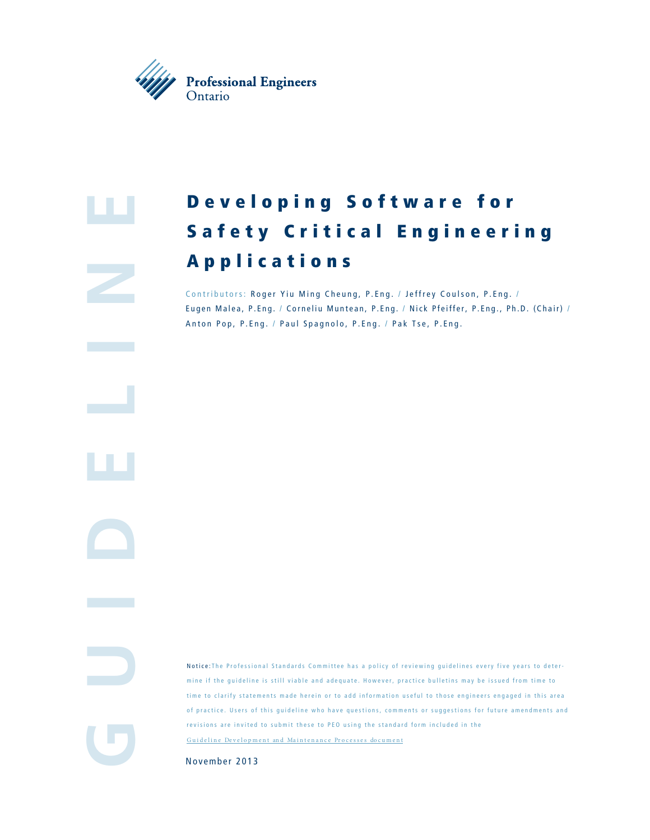

# **e**

**GuidElin**

# Developing Software for Safety Critical Engineering Applications

Contributors: Roger Yiu Ming Cheung, P.Eng. / Jeffrey Coulson, P.Eng. / Eugen Malea, P.Eng. / Corneliu Muntean, P.Eng. / Nick Pfeiffer, P.Eng., Ph.D. (Chair) / Anton Pop, P.Eng. / Paul Spagnolo, P.Eng. / Pak Tse, P.Eng.

Notice : The Professional Standards Committee has a policy of reviewing guidelines every five years to deter mine if the guideline is still viable and adequate. However, practice bulletins may be issued from time to time to clarify statements made herein or to add information useful to those engineers engaged in this area of practice. Users of this guideline who have questions, comments or suggestions for future amendments and revisions are invited to submit these to PEO using the standard form included in the Guideline Development and Maintenance Processes document

November 2013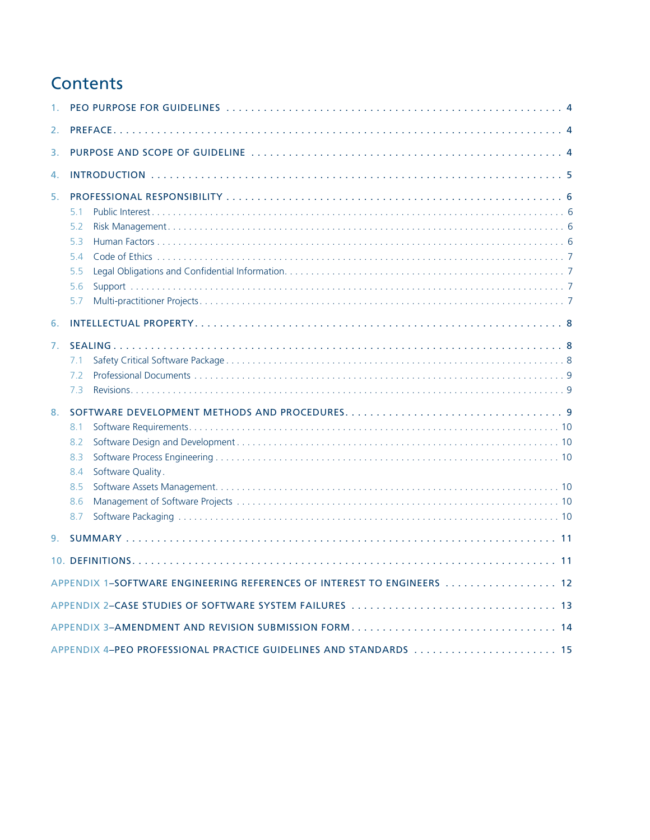# **Contents**

| 1.             |                                                                         |  |
|----------------|-------------------------------------------------------------------------|--|
| 2.             |                                                                         |  |
| 3.             |                                                                         |  |
| 4.             |                                                                         |  |
| 5.             | 5.1<br>5.2<br>5.3<br>54<br>5.5<br>5.6<br>5.7                            |  |
| 6.             |                                                                         |  |
| 7.             | 7.1                                                                     |  |
|                | 7.2<br>7.3                                                              |  |
| 8 <sub>1</sub> | 8.1<br>8.2<br>8.3<br>Software Quality.<br>8.4<br>8.5<br>8.6<br>8.7      |  |
|                |                                                                         |  |
|                |                                                                         |  |
|                | APPENDIX 1-SOFTWARE ENGINEERING REFERENCES OF INTEREST TO ENGINEERS  12 |  |
|                |                                                                         |  |
|                | APPENDIX 3-AMENDMENT AND REVISION SUBMISSION FORM 14                    |  |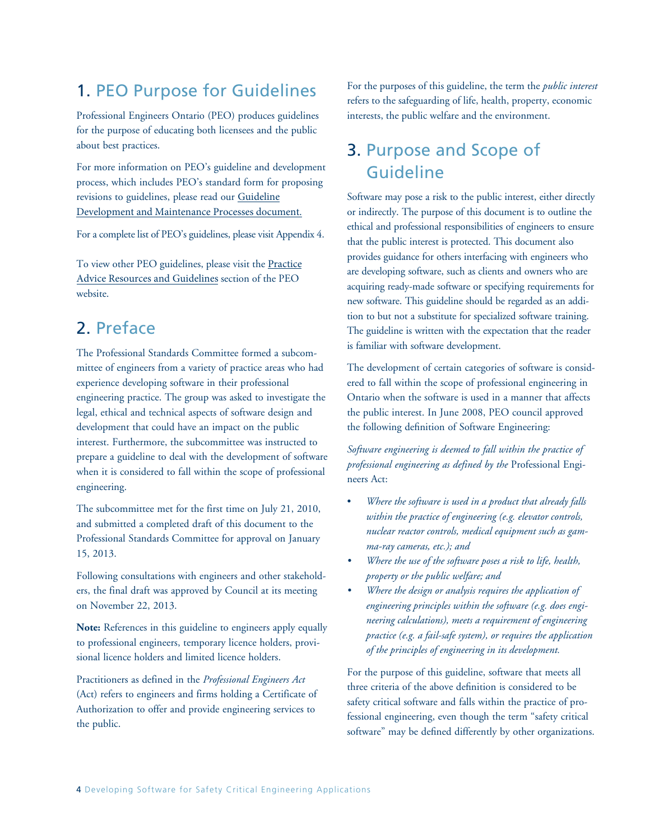# 1. PEO Purpose for Guidelines

Professional Engineers Ontario (PEO) produces guidelines for the purpose of educating both licensees and the public about best practices.

For more information on PEO's guideline and development process, which includes PEO's standard form for proposing revisions to guidelines, please read our [Guideline](www.peo.on.ca/sites/default/files/2019-08/GUIDELINE%20DEVELOPMENT%20AND%20MAINTENANCE%20PROCESSES%20terms%20of%20reference.pdf)  [Development and Maintenance Processes document.](www.peo.on.ca/sites/default/files/2019-08/GUIDELINE%20DEVELOPMENT%20AND%20MAINTENANCE%20PROCESSES%20terms%20of%20reference.pdf)

For a complete list of PEO's guidelines, please visit Appendix 4.

[To view other PEO guidelines, please visit the](www.peo.on.ca/knowledge-centre/practice-advice-resources-and-guidelines/practice-guidelines) Practice Advice Resources and Guidelines section of the PEO website.

# 2. Preface

The Professional Standards Committee formed a subcommittee of engineers from a variety of practice areas who had experience developing software in their professional engineering practice. The group was asked to investigate the legal, ethical and technical aspects of software design and development that could have an impact on the public interest. Furthermore, the subcommittee was instructed to prepare a guideline to deal with the development of software when it is considered to fall within the scope of professional engineering.

The subcommittee met for the first time on July 21, 2010, and submitted a completed draft of this document to the Professional Standards Committee for approval on January 15, 2013.

Following consultations with engineers and other stakeholders, the final draft was approved by Council at its meeting on November 22, 2013.

**Note:** References in this guideline to engineers apply equally to professional engineers, temporary licence holders, provisional licence holders and limited licence holders.

Practitioners as defined in the *Professional Engineers Act*  (Act) refers to engineers and firms holding a Certificate of Authorization to offer and provide engineering services to the public.

For the purposes of this guideline, the term the *public interest* refers to the safeguarding of life, health, property, economic interests, the public welfare and the environment.

# 3. Purpose and Scope of Guideline

Software may pose a risk to the public interest, either directly or indirectly. The purpose of this document is to outline the ethical and professional responsibilities of engineers to ensure that the public interest is protected. This document also provides guidance for others interfacing with engineers who are developing software, such as clients and owners who are acquiring ready-made software or specifying requirements for new software. This guideline should be regarded as an addition to but not a substitute for specialized software training. The guideline is written with the expectation that the reader is familiar with software development.

The development of certain categories of software is considered to fall within the scope of professional engineering in Ontario when the software is used in a manner that affects the public interest. In June 2008, PEO council approved the following definition of Software Engineering:

*Software engineering is deemed to fall within the practice of professional engineering as defined by the* Professional Engineers Act:

- *Where the software is used in a product that already falls within the practice of engineering (e.g. elevator controls, nuclear reactor controls, medical equipment such as gamma-ray cameras, etc.); and*
- *Where the use of the software poses a risk to life, health, property or the public welfare; and*
- *Where the design or analysis requires the application of engineering principles within the software (e.g. does engineering calculations), meets a requirement of engineering practice (e.g. a fail-safe system), or requires the application of the principles of engineering in its development.*

For the purpose of this guideline, software that meets all three criteria of the above definition is considered to be safety critical software and falls within the practice of professional engineering, even though the term "safety critical software" may be defined differently by other organizations.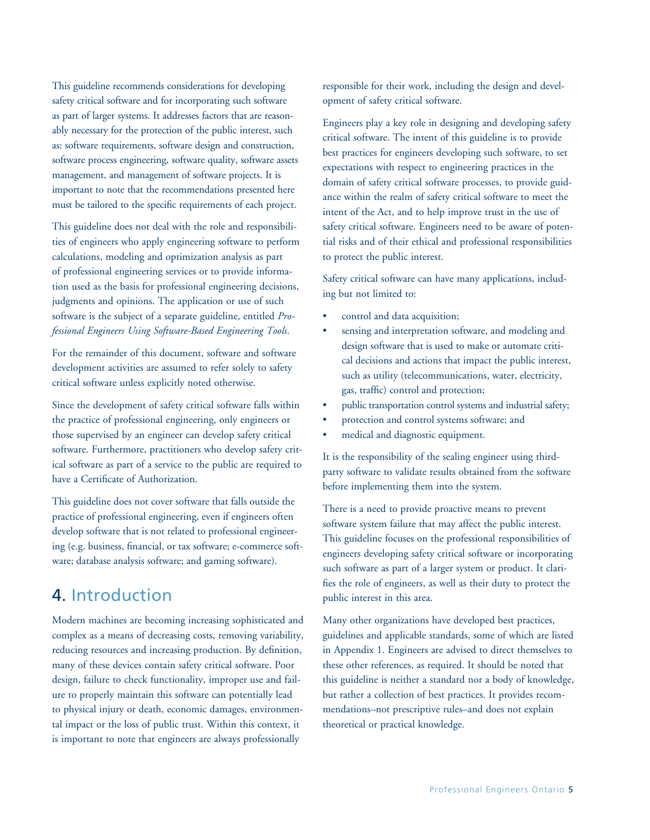This guideline recommends considerations for developing safety critical software and for incorporating such software as part of larger systems. It addresses factors that are reasonably necessary for the protection of the public interest, such as: software requirements, software design and construction, software process engineering, software quality, software assets management, and management of software projects. It is important to note that the recommendations presented here must be tailored to the specific requirements of each project.

This guideline does not deal with the role and responsibilities of engineers who apply engineering software to perform calculations, modeling and optimization analysis as part of professional engineering services or to provide information used as the basis for professional engineering decisions, judgments and opinions. The application or use of such software is the subject of a separate guideline, entitled *Professional Engineers Using Software-Based Engineering Tools*.

For the remainder of this document, software and software development activities are assumed to refer solely to safety critical software unless explicitly noted otherwise.

Since the development of safety critical software falls within the practice of professional engineering, only engineers or those supervised by an engineer can develop safety critical software. Furthermore, practitioners who develop safety critical software as part of a service to the public are required to have a Certificate of Authorization.

This guideline does not cover software that falls outside the practice of professional engineering, even if engineers often develop software that is not related to professional engineering (e.g. business, financial, or tax software; e-commerce software; database analysis software; and gaming software).

## 4. Introduction

Modern machines are becoming increasing sophisticated and complex as a means of decreasing costs, removing variability, reducing resources and increasing production. By definition, many of these devices contain safety critical software. Poor design, failure to check functionality, improper use and failure to properly maintain this software can potentially lead to physical injury or death, economic damages, environmental impact or the loss of public trust. Within this context, it is important to note that engineers are always professionally

responsible for their work, including the design and development of safety critical software.

Engineers play a key role in designing and developing safety critical software. The intent of this guideline is to provide best practices for engineers developing such software, to set expectations with respect to engineering practices in the domain of safety critical software processes, to provide guidance within the realm of safety critical software to meet the intent of the Act, and to help improve trust in the use of safety critical software. Engineers need to be aware of potential risks and of their ethical and professional responsibilities to protect the public interest.

Safety critical software can have many applications, including but not limited to:

- control and data acquisition;
- sensing and interpretation software, and modeling and design software that is used to make or automate critical decisions and actions that impact the public interest, such as utility (telecommunications, water, electricity, gas, traffic) control and protection;
- public transportation control systems and industrial safety;
- protection and control systems software; and
- medical and diagnostic equipment.

It is the responsibility of the sealing engineer using thirdparty software to validate results obtained from the software before implementing them into the system.

There is a need to provide proactive means to prevent software system failure that may affect the public interest. This guideline focuses on the professional responsibilities of engineers developing safety critical software or incorporating such software as part of a larger system or product. It clarifies the role of engineers, as well as their duty to protect the public interest in this area.

Many other organizations have developed best practices, guidelines and applicable standards, some of which are listed in Appendix 1. Engineers are advised to direct themselves to these other references, as required. It should be noted that this guideline is neither a standard nor a body of knowledge, but rather a collection of best practices. It provides recommendations–not prescriptive rules–and does not explain theoretical or practical knowledge.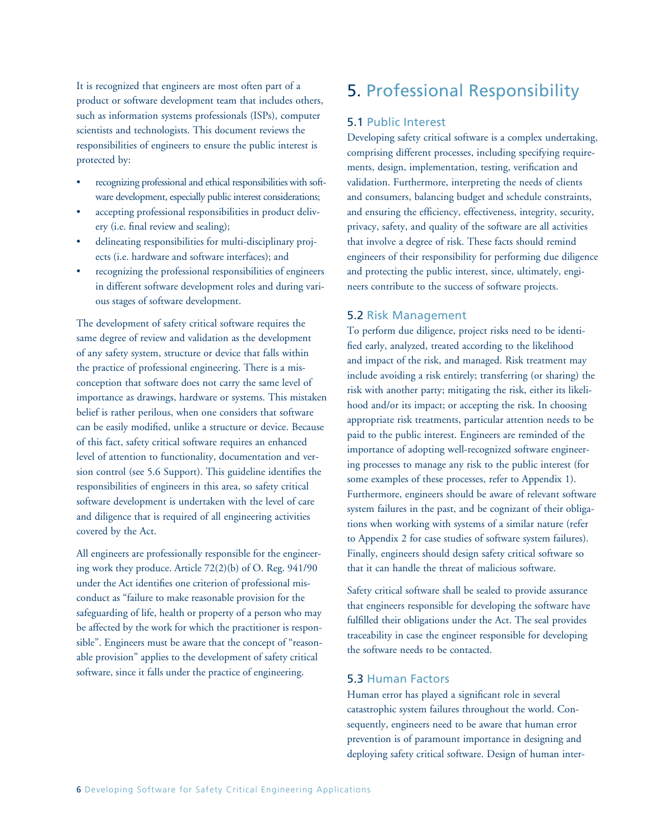It is recognized that engineers are most often part of a product or software development team that includes others, such as information systems professionals (ISPs), computer scientists and technologists. This document reviews the responsibilities of engineers to ensure the public interest is protected by:

- recognizing professional and ethical responsibilities with software development, especially public interest considerations;
- accepting professional responsibilities in product delivery (i.e. final review and sealing);
- delineating responsibilities for multi-disciplinary projects (i.e. hardware and software interfaces); and
- recognizing the professional responsibilities of engineers in different software development roles and during various stages of software development.

The development of safety critical software requires the same degree of review and validation as the development of any safety system, structure or device that falls within the practice of professional engineering. There is a misconception that software does not carry the same level of importance as drawings, hardware or systems. This mistaken belief is rather perilous, when one considers that software can be easily modified, unlike a structure or device. Because of this fact, safety critical software requires an enhanced level of attention to functionality, documentation and version control (see 5.6 Support). This guideline identifies the responsibilities of engineers in this area, so safety critical software development is undertaken with the level of care and diligence that is required of all engineering activities covered by the Act.

All engineers are professionally responsible for the engineering work they produce. Article 72(2)(b) of O. Reg. 941/90 under the Act identifies one criterion of professional misconduct as "failure to make reasonable provision for the safeguarding of life, health or property of a person who may be affected by the work for which the practitioner is responsible". Engineers must be aware that the concept of "reasonable provision" applies to the development of safety critical software, since it falls under the practice of engineering.

# 5. Professional Responsibility

### 5.1 Public Interest

Developing safety critical software is a complex undertaking, comprising different processes, including specifying requirements, design, implementation, testing, verification and validation. Furthermore, interpreting the needs of clients and consumers, balancing budget and schedule constraints, and ensuring the efficiency, effectiveness, integrity, security, privacy, safety, and quality of the software are all activities that involve a degree of risk. These facts should remind engineers of their responsibility for performing due diligence and protecting the public interest, since, ultimately, engineers contribute to the success of software projects.

### 5.2 Risk Management

To perform due diligence, project risks need to be identified early, analyzed, treated according to the likelihood and impact of the risk, and managed. Risk treatment may include avoiding a risk entirely; transferring (or sharing) the risk with another party; mitigating the risk, either its likelihood and/or its impact; or accepting the risk. In choosing appropriate risk treatments, particular attention needs to be paid to the public interest. Engineers are reminded of the importance of adopting well-recognized software engineering processes to manage any risk to the public interest (for some examples of these processes, refer to Appendix 1). Furthermore, engineers should be aware of relevant software system failures in the past, and be cognizant of their obligations when working with systems of a similar nature (refer to Appendix 2 for case studies of software system failures). Finally, engineers should design safety critical software so that it can handle the threat of malicious software.

Safety critical software shall be sealed to provide assurance that engineers responsible for developing the software have fulfilled their obligations under the Act. The seal provides traceability in case the engineer responsible for developing the software needs to be contacted.

### 5.3 Human Factors

Human error has played a significant role in several catastrophic system failures throughout the world. Consequently, engineers need to be aware that human error prevention is of paramount importance in designing and deploying safety critical software. Design of human inter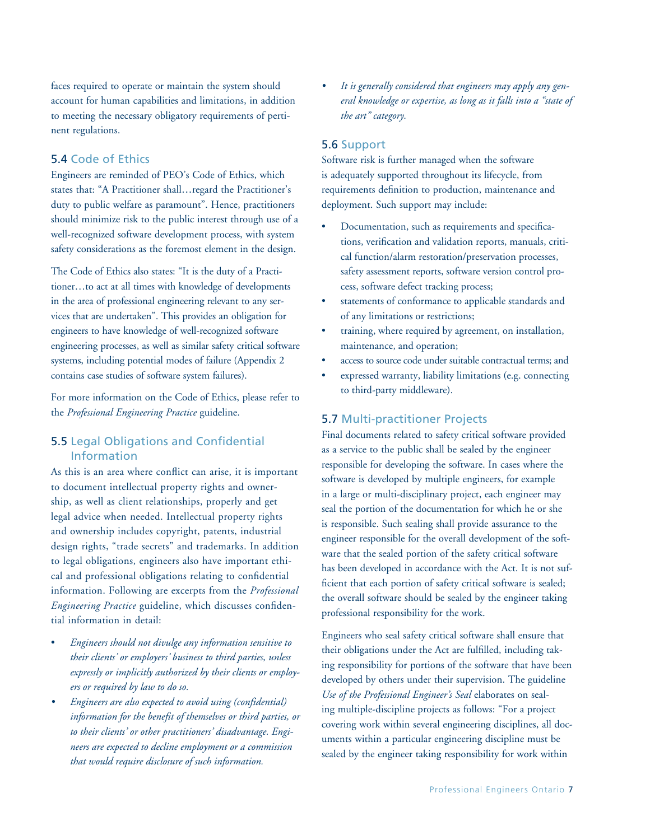faces required to operate or maintain the system should account for human capabilities and limitations, in addition to meeting the necessary obligatory requirements of pertinent regulations.

### 5.4 Code of Ethics

Engineers are reminded of PEO's Code of Ethics, which states that: "A Practitioner shall…regard the Practitioner's duty to public welfare as paramount". Hence, practitioners should minimize risk to the public interest through use of a well-recognized software development process, with system safety considerations as the foremost element in the design.

The Code of Ethics also states: "It is the duty of a Practitioner…to act at all times with knowledge of developments in the area of professional engineering relevant to any services that are undertaken". This provides an obligation for engineers to have knowledge of well-recognized software engineering processes, as well as similar safety critical software systems, including potential modes of failure (Appendix 2 contains case studies of software system failures).

For more information on the Code of Ethics, please refer to the *Professional Engineering Practice* guideline.

### 5.5 Legal Obligations and Confidential Information

As this is an area where conflict can arise, it is important to document intellectual property rights and ownership, as well as client relationships, properly and get legal advice when needed. Intellectual property rights and ownership includes copyright, patents, industrial design rights, "trade secrets" and trademarks. In addition to legal obligations, engineers also have important ethical and professional obligations relating to confidential information. Following are excerpts from the *Professional Engineering Practice* guideline, which discusses confidential information in detail:

- • *Engineers should not divulge any information sensitive to their clients' or employers' business to third parties, unless expressly or implicitly authorized by their clients or employers or required by law to do so.*
- *• Engineers are also expected to avoid using (confidential) information for the benefit of themselves or third parties, or to their clients' or other practitioners' disadvantage. Engineers are expected to decline employment or a commission that would require disclosure of such information.*

*• It is generally considered that engineers may apply any general knowledge or expertise, as long as it falls into a "state of the art" category.*

#### 5.6 Support

Software risk is further managed when the software is adequately supported throughout its lifecycle, from requirements definition to production, maintenance and deployment. Such support may include:

- Documentation, such as requirements and specifications, verification and validation reports, manuals, critical function/alarm restoration/preservation processes, safety assessment reports, software version control process, software defect tracking process;
- statements of conformance to applicable standards and of any limitations or restrictions;
- training, where required by agreement, on installation, maintenance, and operation;
- access to source code under suitable contractual terms; and
- expressed warranty, liability limitations (e.g. connecting to third-party middleware).

### 5.7 Multi-practitioner Projects

Final documents related to safety critical software provided as a service to the public shall be sealed by the engineer responsible for developing the software. In cases where the software is developed by multiple engineers, for example in a large or multi-disciplinary project, each engineer may seal the portion of the documentation for which he or she is responsible. Such sealing shall provide assurance to the engineer responsible for the overall development of the software that the sealed portion of the safety critical software has been developed in accordance with the Act. It is not sufficient that each portion of safety critical software is sealed; the overall software should be sealed by the engineer taking professional responsibility for the work.

Engineers who seal safety critical software shall ensure that their obligations under the Act are fulfilled, including taking responsibility for portions of the software that have been developed by others under their supervision. The guideline *Use of the Professional Engineer's Seal* elaborates on sealing multiple-discipline projects as follows: "For a project covering work within several engineering disciplines, all documents within a particular engineering discipline must be sealed by the engineer taking responsibility for work within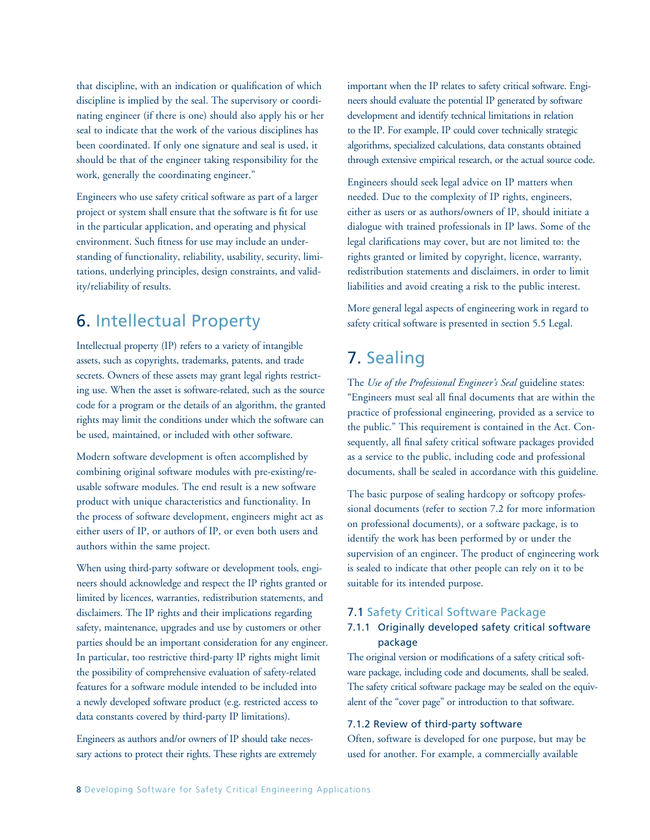that discipline, with an indication or qualification of which discipline is implied by the seal. The supervisory or coordinating engineer (if there is one) should also apply his or her seal to indicate that the work of the various disciplines has been coordinated. If only one signature and seal is used, it should be that of the engineer taking responsibility for the work, generally the coordinating engineer."

Engineers who use safety critical software as part of a larger project or system shall ensure that the software is fit for use in the particular application, and operating and physical environment. Such fitness for use may include an understanding of functionality, reliability, usability, security, limitations, underlying principles, design constraints, and validity/reliability of results.

# 6. Intellectual Property

Intellectual property (IP) refers to a variety of intangible assets, such as copyrights, trademarks, patents, and trade secrets. Owners of these assets may grant legal rights restricting use. When the asset is software-related, such as the source code for a program or the details of an algorithm, the granted rights may limit the conditions under which the software can be used, maintained, or included with other software.

Modern software development is often accomplished by combining original software modules with pre-existing/reusable software modules. The end result is a new software product with unique characteristics and functionality. In the process of software development, engineers might act as either users of IP, or authors of IP, or even both users and authors within the same project.

When using third-party software or development tools, engineers should acknowledge and respect the IP rights granted or limited by licences, warranties, redistribution statements, and disclaimers. The IP rights and their implications regarding safety, maintenance, upgrades and use by customers or other parties should be an important consideration for any engineer. In particular, too restrictive third-party IP rights might limit the possibility of comprehensive evaluation of safety-related features for a software module intended to be included into a newly developed software product (e.g. restricted access to data constants covered by third-party IP limitations).

Engineers as authors and/or owners of IP should take necessary actions to protect their rights. These rights are extremely important when the IP relates to safety critical software. Engineers should evaluate the potential IP generated by software development and identify technical limitations in relation to the IP. For example, IP could cover technically strategic algorithms, specialized calculations, data constants obtained through extensive empirical research, or the actual source code.

Engineers should seek legal advice on IP matters when needed. Due to the complexity of IP rights, engineers, either as users or as authors/owners of IP, should initiate a dialogue with trained professionals in IP laws. Some of the legal clarifications may cover, but are not limited to: the rights granted or limited by copyright, licence, warranty, redistribution statements and disclaimers, in order to limit liabilities and avoid creating a risk to the public interest.

More general legal aspects of engineering work in regard to safety critical software is presented in section 5.5 Legal.

## 7. Sealing

The *Use of the Professional Engineer's Seal* guideline states: "Engineers must seal all final documents that are within the practice of professional engineering, provided as a service to the public." This requirement is contained in the Act. Consequently, all final safety critical software packages provided as a service to the public, including code and professional documents, shall be sealed in accordance with this guideline.

The basic purpose of sealing hardcopy or softcopy professional documents (refer to section 7.2 for more information on professional documents), or a software package, is to identify the work has been performed by or under the supervision of an engineer. The product of engineering work is sealed to indicate that other people can rely on it to be suitable for its intended purpose.

### 7.1 Safety Critical Software Package

### 7.1.1 Originally developed safety critical software package

The original version or modifications of a safety critical software package, including code and documents, shall be sealed. The safety critical software package may be sealed on the equivalent of the "cover page" or introduction to that software.

#### 7.1.2 Review of third-party software

Often, software is developed for one purpose, but may be used for another. For example, a commercially available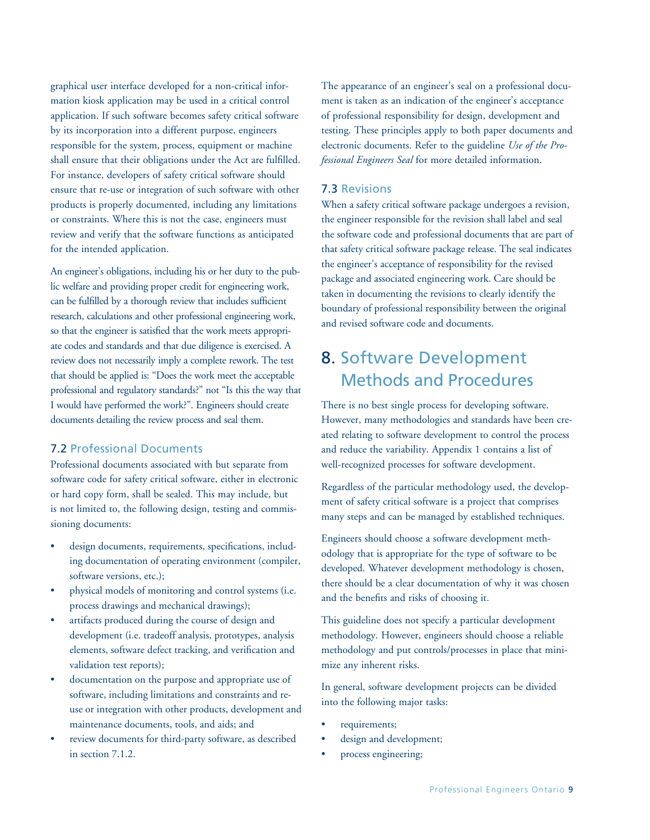graphical user interface developed for a non-critical information kiosk application may be used in a critical control application. If such software becomes safety critical software by its incorporation into a different purpose, engineers responsible for the system, process, equipment or machine shall ensure that their obligations under the Act are fulfilled. For instance, developers of safety critical software should ensure that re-use or integration of such software with other products is properly documented, including any limitations or constraints. Where this is not the case, engineers must review and verify that the software functions as anticipated for the intended application.

An engineer's obligations, including his or her duty to the public welfare and providing proper credit for engineering work, can be fulfilled by a thorough review that includes sufficient research, calculations and other professional engineering work, so that the engineer is satisfied that the work meets appropriate codes and standards and that due diligence is exercised. A review does not necessarily imply a complete rework. The test that should be applied is: "Does the work meet the acceptable professional and regulatory standards?" not "Is this the way that I would have performed the work?". Engineers should create documents detailing the review process and seal them.

### 7.2 Professional Documents

Professional documents associated with but separate from software code for safety critical software, either in electronic or hard copy form, shall be sealed. This may include, but is not limited to, the following design, testing and commissioning documents:

- design documents, requirements, specifications, including documentation of operating environment (compiler, software versions, etc.);
- physical models of monitoring and control systems (i.e. process drawings and mechanical drawings);
- artifacts produced during the course of design and development (i.e. tradeoff analysis, prototypes, analysis elements, software defect tracking, and verification and validation test reports);
- documentation on the purpose and appropriate use of software, including limitations and constraints and reuse or integration with other products, development and maintenance documents, tools, and aids; and
- review documents for third-party software, as described in section 7.1.2.

The appearance of an engineer's seal on a professional document is taken as an indication of the engineer's acceptance of professional responsibility for design, development and testing. These principles apply to both paper documents and electronic documents. Refer to the guideline *Use of the Professional Engineers Seal* for more detailed information.

#### 7.3 Revisions

When a safety critical software package undergoes a revision, the engineer responsible for the revision shall label and seal the software code and professional documents that are part of that safety critical software package release. The seal indicates the engineer's acceptance of responsibility for the revised package and associated engineering work. Care should be taken in documenting the revisions to clearly identify the boundary of professional responsibility between the original and revised software code and documents.

# 8. Software Development Methods and Procedures

There is no best single process for developing software. However, many methodologies and standards have been created relating to software development to control the process and reduce the variability. Appendix 1 contains a list of well-recognized processes for software development.

Regardless of the particular methodology used, the development of safety critical software is a project that comprises many steps and can be managed by established techniques.

Engineers should choose a software development methodology that is appropriate for the type of software to be developed. Whatever development methodology is chosen, there should be a clear documentation of why it was chosen and the benefits and risks of choosing it.

This guideline does not specify a particular development methodology. However, engineers should choose a reliable methodology and put controls/processes in place that minimize any inherent risks.

In general, software development projects can be divided into the following major tasks:

- requirements;
- design and development;
- process engineering;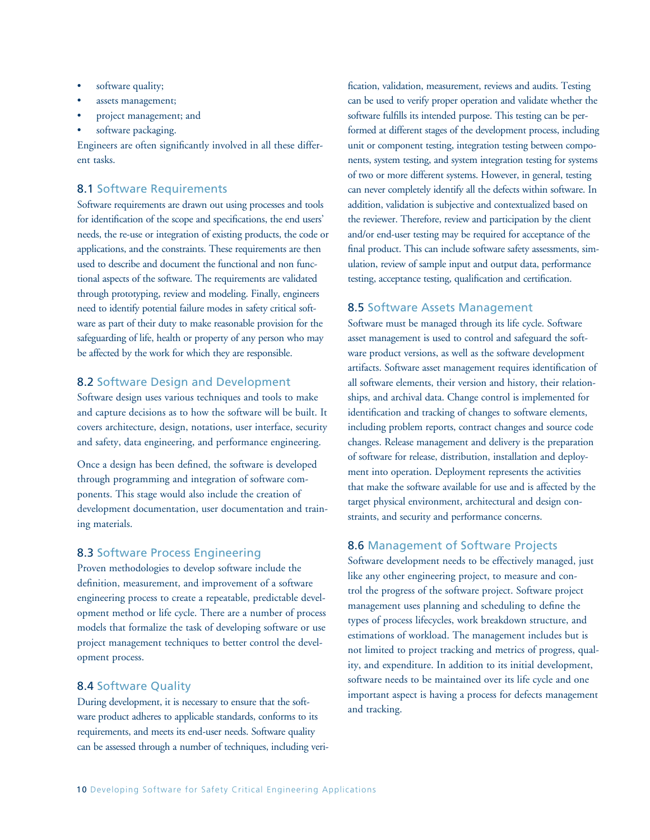- software quality;
- assets management;
- project management; and
- software packaging.

Engineers are often significantly involved in all these different tasks.

#### 8.1 Software Requirements

Software requirements are drawn out using processes and tools for identification of the scope and specifications, the end users' needs, the re-use or integration of existing products, the code or applications, and the constraints. These requirements are then used to describe and document the functional and non functional aspects of the software. The requirements are validated through prototyping, review and modeling. Finally, engineers need to identify potential failure modes in safety critical software as part of their duty to make reasonable provision for the safeguarding of life, health or property of any person who may be affected by the work for which they are responsible.

### 8.2 Software Design and Development

Software design uses various techniques and tools to make and capture decisions as to how the software will be built. It covers architecture, design, notations, user interface, security and safety, data engineering, and performance engineering.

Once a design has been defined, the software is developed through programming and integration of software components. This stage would also include the creation of development documentation, user documentation and training materials.

### 8.3 Software Process Engineering

Proven methodologies to develop software include the definition, measurement, and improvement of a software engineering process to create a repeatable, predictable development method or life cycle. There are a number of process models that formalize the task of developing software or use project management techniques to better control the development process.

#### 8.4 Software Quality

During development, it is necessary to ensure that the software product adheres to applicable standards, conforms to its requirements, and meets its end-user needs. Software quality can be assessed through a number of techniques, including verification, validation, measurement, reviews and audits. Testing can be used to verify proper operation and validate whether the software fulfills its intended purpose. This testing can be performed at different stages of the development process, including unit or component testing, integration testing between components, system testing, and system integration testing for systems of two or more different systems. However, in general, testing can never completely identify all the defects within software. In addition, validation is subjective and contextualized based on the reviewer. Therefore, review and participation by the client and/or end-user testing may be required for acceptance of the final product. This can include software safety assessments, simulation, review of sample input and output data, performance testing, acceptance testing, qualification and certification.

### 8.5 Software Assets Management

Software must be managed through its life cycle. Software asset management is used to control and safeguard the software product versions, as well as the software development artifacts. Software asset management requires identification of all software elements, their version and history, their relationships, and archival data. Change control is implemented for identification and tracking of changes to software elements, including problem reports, contract changes and source code changes. Release management and delivery is the preparation of software for release, distribution, installation and deployment into operation. Deployment represents the activities that make the software available for use and is affected by the target physical environment, architectural and design constraints, and security and performance concerns.

#### 8.6 Management of Software Projects

Software development needs to be effectively managed, just like any other engineering project, to measure and control the progress of the software project. Software project management uses planning and scheduling to define the types of process lifecycles, work breakdown structure, and estimations of workload. The management includes but is not limited to project tracking and metrics of progress, quality, and expenditure. In addition to its initial development, software needs to be maintained over its life cycle and one important aspect is having a process for defects management and tracking.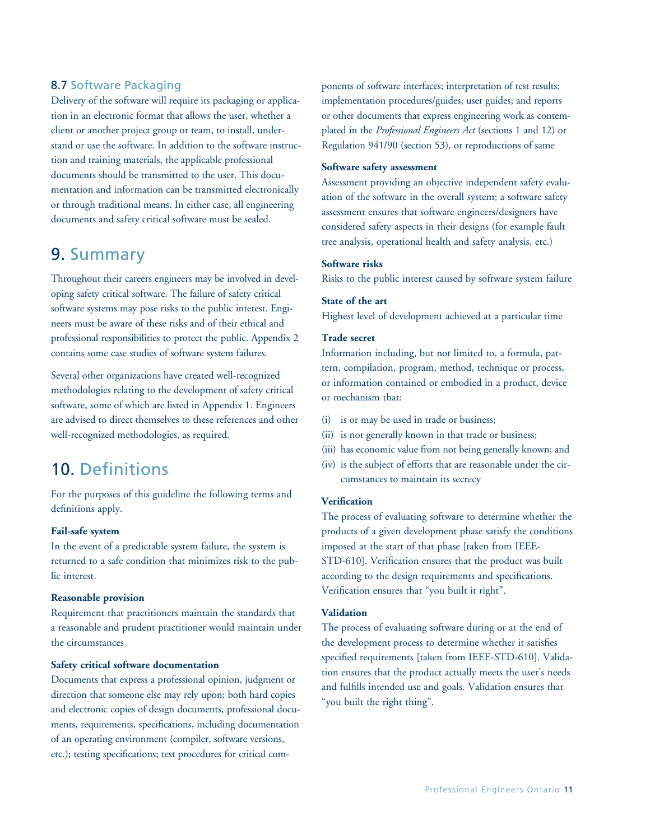### 8.7 Software Packaging

Delivery of the software will require its packaging or application in an electronic format that allows the user, whether a client or another project group or team, to install, understand or use the software. In addition to the software instruction and training materials, the applicable professional documents should be transmitted to the user. This documentation and information can be transmitted electronically or through traditional means. In either case, all engineering documents and safety critical software must be sealed.

### 9. Summary

Throughout their careers engineers may be involved in developing safety critical software. The failure of safety critical software systems may pose risks to the public interest. Engineers must be aware of these risks and of their ethical and professional responsibilities to protect the public. Appendix 2 contains some case studies of software system failures.

Several other organizations have created well-recognized methodologies relating to the development of safety critical software, some of which are listed in Appendix 1. Engineers are advised to direct themselves to these references and other well-recognized methodologies, as required.

### 10. Definitions

For the purposes of this guideline the following terms and definitions apply.

#### **Fail-safe system**

In the event of a predictable system failure, the system is returned to a safe condition that minimizes risk to the public interest.

#### **Reasonable provision**

Requirement that practitioners maintain the standards that a reasonable and prudent practitioner would maintain under the circumstances

#### **Safety critical software documentation**

Documents that express a professional opinion, judgment or direction that someone else may rely upon; both hard copies and electronic copies of design documents, professional documents, requirements, specifications, including documentation of an operating environment (compiler, software versions, etc.); testing specifications; test procedures for critical components of software interfaces; interpretation of test results; implementation procedures/guides; user guides; and reports or other documents that express engineering work as contemplated in the *Professional Engineers Act* (sections 1 and 12) or Regulation 941/90 (section 53), or reproductions of same

#### **Software safety assessment**

Assessment providing an objective independent safety evaluation of the software in the overall system; a software safety assessment ensures that software engineers/designers have considered safety aspects in their designs (for example fault tree analysis, operational health and safety analysis, etc.)

#### **Software risks**

Risks to the public interest caused by software system failure

#### **State of the art**

Highest level of development achieved at a particular time

#### **Trade secret**

Information including, but not limited to, a formula, pattern, compilation, program, method, technique or process, or information contained or embodied in a product, device or mechanism that:

- (i) is or may be used in trade or business;
- (ii) is not generally known in that trade or business;
- (iii) has economic value from not being generally known; and
- (iv) is the subject of efforts that are reasonable under the circumstances to maintain its secrecy

#### **Verification**

The process of evaluating software to determine whether the products of a given development phase satisfy the conditions imposed at the start of that phase [taken from IEEE-STD-610]. Verification ensures that the product was built according to the design requirements and specifications. Verification ensures that "you built it right".

#### **Validation**

The process of evaluating software during or at the end of the development process to determine whether it satisfies specified requirements [taken from IEEE-STD-610]. Validation ensures that the product actually meets the user's needs and fulfills intended use and goals. Validation ensures that "you built the right thing".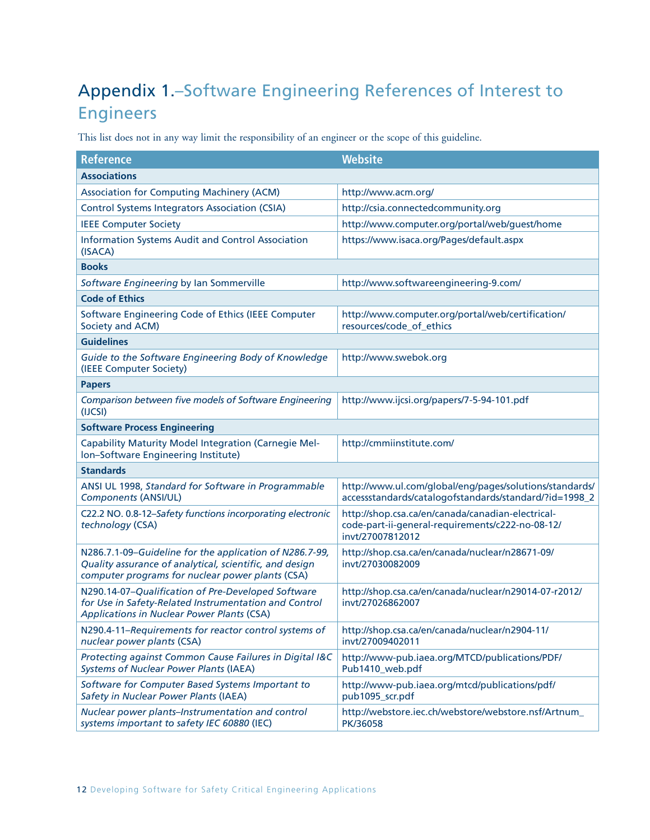# Appendix 1.–Software Engineering References of Interest to Engineers

This list does not in any way limit the responsibility of an engineer or the scope of this guideline.

| <b>Reference</b>                                                                                                                                                       | <b>Website</b>                                                                                                            |
|------------------------------------------------------------------------------------------------------------------------------------------------------------------------|---------------------------------------------------------------------------------------------------------------------------|
| <b>Associations</b>                                                                                                                                                    |                                                                                                                           |
| <b>Association for Computing Machinery (ACM)</b>                                                                                                                       | http://www.acm.org/                                                                                                       |
| <b>Control Systems Integrators Association (CSIA)</b>                                                                                                                  | http://csia.connectedcommunity.org                                                                                        |
| <b>IEEE Computer Society</b>                                                                                                                                           | http://www.computer.org/portal/web/guest/home                                                                             |
| <b>Information Systems Audit and Control Association</b><br>(ISACA)                                                                                                    | https://www.isaca.org/Pages/default.aspx                                                                                  |
| <b>Books</b>                                                                                                                                                           |                                                                                                                           |
| Software Engineering by Ian Sommerville                                                                                                                                | http://www.softwareengineering-9.com/                                                                                     |
| <b>Code of Ethics</b>                                                                                                                                                  |                                                                                                                           |
| Software Engineering Code of Ethics (IEEE Computer<br>Society and ACM)                                                                                                 | http://www.computer.org/portal/web/certification/<br>resources/code_of_ethics                                             |
| <b>Guidelines</b>                                                                                                                                                      |                                                                                                                           |
| Guide to the Software Engineering Body of Knowledge<br>(IEEE Computer Society)                                                                                         | http://www.swebok.org                                                                                                     |
| <b>Papers</b>                                                                                                                                                          |                                                                                                                           |
| Comparison between five models of Software Engineering<br>(IJCSI)                                                                                                      | http://www.ijcsi.org/papers/7-5-94-101.pdf                                                                                |
| <b>Software Process Engineering</b>                                                                                                                                    |                                                                                                                           |
| Capability Maturity Model Integration (Carnegie Mel-<br>Ion-Software Engineering Institute)                                                                            | http://cmmiinstitute.com/                                                                                                 |
| <b>Standards</b>                                                                                                                                                       |                                                                                                                           |
| ANSI UL 1998, Standard for Software in Programmable<br><b>Components (ANSI/UL)</b>                                                                                     | http://www.ul.com/global/eng/pages/solutions/standards/<br>accessstandards/catalogofstandards/standard/?id=1998_2         |
| C22.2 NO. 0.8-12-Safety functions incorporating electronic<br>technology (CSA)                                                                                         | http://shop.csa.ca/en/canada/canadian-electrical-<br>code-part-ii-general-requirements/c222-no-08-12/<br>invt/27007812012 |
| N286.7.1-09-Guideline for the application of N286.7-99,<br>Quality assurance of analytical, scientific, and design<br>computer programs for nuclear power plants (CSA) | http://shop.csa.ca/en/canada/nuclear/n28671-09/<br>invt/27030082009                                                       |
| N290.14-07-Qualification of Pre-Developed Software<br>for Use in Safety-Related Instrumentation and Control<br>Applications in Nuclear Power Plants (CSA)              | http://shop.csa.ca/en/canada/nuclear/n29014-07-r2012/<br>inyt/27026862007                                                 |
| N290.4-11-Requirements for reactor control systems of<br>nuclear power plants (CSA)                                                                                    | http://shop.csa.ca/en/canada/nuclear/n2904-11/<br>invt/27009402011                                                        |
| Protecting against Common Cause Failures in Digital I&C<br><b>Systems of Nuclear Power Plants (IAEA)</b>                                                               | http://www-pub.iaea.org/MTCD/publications/PDF/<br>Pub1410_web.pdf                                                         |
| Software for Computer Based Systems Important to<br>Safety in Nuclear Power Plants (IAEA)                                                                              | http://www-pub.iaea.org/mtcd/publications/pdf/<br>pub1095_scr.pdf                                                         |
| Nuclear power plants-Instrumentation and control<br>systems important to safety IEC 60880 (IEC)                                                                        | http://webstore.iec.ch/webstore/webstore.nsf/Artnum_<br>PK/36058                                                          |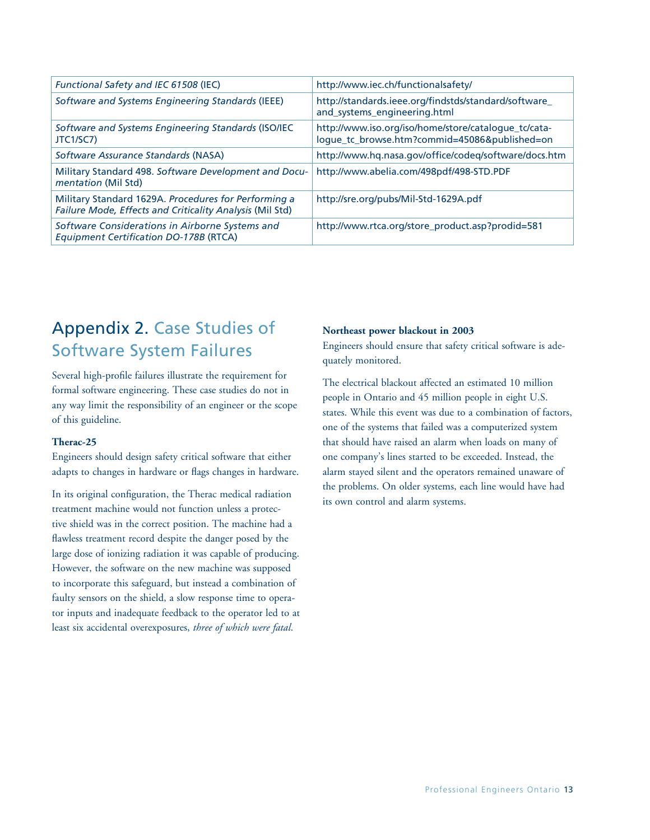| Functional Safety and IEC 61508 (IEC)                                                                            | http://www.iec.ch/functionalsafety/                                                                   |
|------------------------------------------------------------------------------------------------------------------|-------------------------------------------------------------------------------------------------------|
| Software and Systems Engineering Standards (IEEE)                                                                | http://standards.ieee.org/findstds/standard/software_<br>and_systems_engineering.html                 |
| Software and Systems Engineering Standards (ISO/IEC<br>JTC1/SC7)                                                 | http://www.iso.org/iso/home/store/catalogue_tc/cata-<br>logue_tc_browse.htm?commid=45086&published=on |
| Software Assurance Standards (NASA)                                                                              | http://www.hq.nasa.gov/office/codeq/software/docs.htm                                                 |
| Military Standard 498. Software Development and Docu-<br>mentation (Mil Std)                                     | http://www.abelia.com/498pdf/498-STD.PDF                                                              |
| Military Standard 1629A. Procedures for Performing a<br>Failure Mode, Effects and Criticality Analysis (Mil Std) | http://sre.org/pubs/Mil-Std-1629A.pdf                                                                 |
| Software Considerations in Airborne Systems and<br><b>Equipment Certification DO-178B (RTCA)</b>                 | http://www.rtca.org/store_product.asp?prodid=581                                                      |

# Appendix 2. Case Studies of Software System Failures

Several high-profile failures illustrate the requirement for formal software engineering. These case studies do not in any way limit the responsibility of an engineer or the scope of this guideline.

#### **Therac-25**

Engineers should design safety critical software that either adapts to changes in hardware or flags changes in hardware.

In its original configuration, the Therac medical radiation treatment machine would not function unless a protective shield was in the correct position. The machine had a flawless treatment record despite the danger posed by the large dose of ionizing radiation it was capable of producing. However, the software on the new machine was supposed to incorporate this safeguard, but instead a combination of faulty sensors on the shield, a slow response time to operator inputs and inadequate feedback to the operator led to at least six accidental overexposures, *three of which were fatal*.

#### **Northeast power blackout in 2003**

Engineers should ensure that safety critical software is adequately monitored.

The electrical blackout affected an estimated 10 million people in Ontario and 45 million people in eight U.S. states. While this event was due to a combination of factors, one of the systems that failed was a computerized system that should have raised an alarm when loads on many of one company's lines started to be exceeded. Instead, the alarm stayed silent and the operators remained unaware of the problems. On older systems, each line would have had its own control and alarm systems.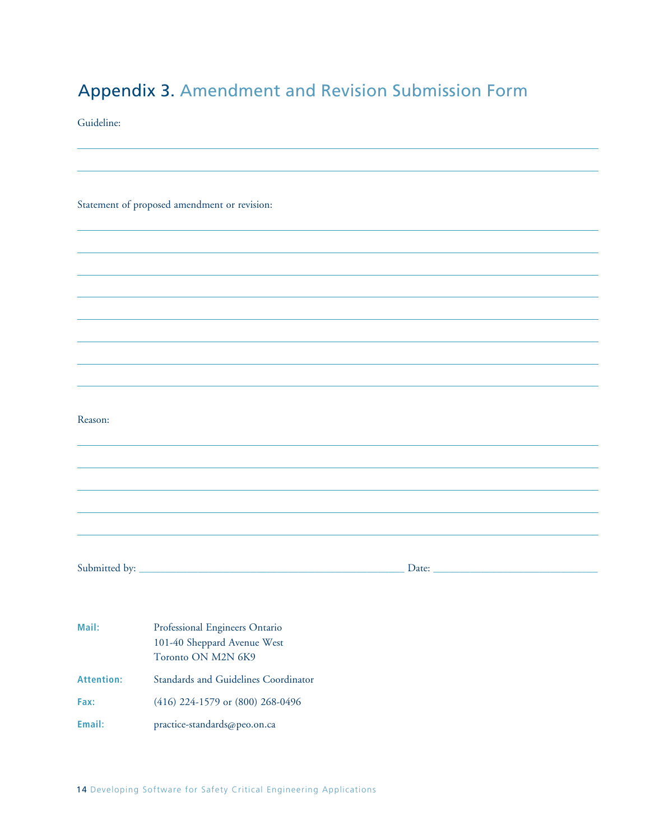# Appendix 3. Amendment and Revision Submission Form

Guideline:

|  | Statement of proposed amendment or revision: |  |
|--|----------------------------------------------|--|

| v |  |
|---|--|
|   |  |
|   |  |

Submitted by: \_\_\_\_\_\_\_\_\_\_\_\_\_\_\_\_\_\_\_\_\_\_\_\_\_\_\_\_\_\_\_\_\_\_\_\_\_\_\_\_\_\_\_\_\_\_\_\_\_\_ Date: \_\_\_\_\_\_\_\_\_\_\_\_\_\_\_\_\_\_\_\_\_\_\_\_\_\_\_\_\_\_\_

| Mail:             | Professional Engineers Ontario       |  |  |
|-------------------|--------------------------------------|--|--|
|                   | 101-40 Sheppard Avenue West          |  |  |
|                   | Toronto ON M2N 6K9                   |  |  |
| <b>Attention:</b> | Standards and Guidelines Coordinator |  |  |
| Fax:              | $(416)$ 224-1579 or $(800)$ 268-0496 |  |  |
| Email:            | practice-standards@peo.on.ca         |  |  |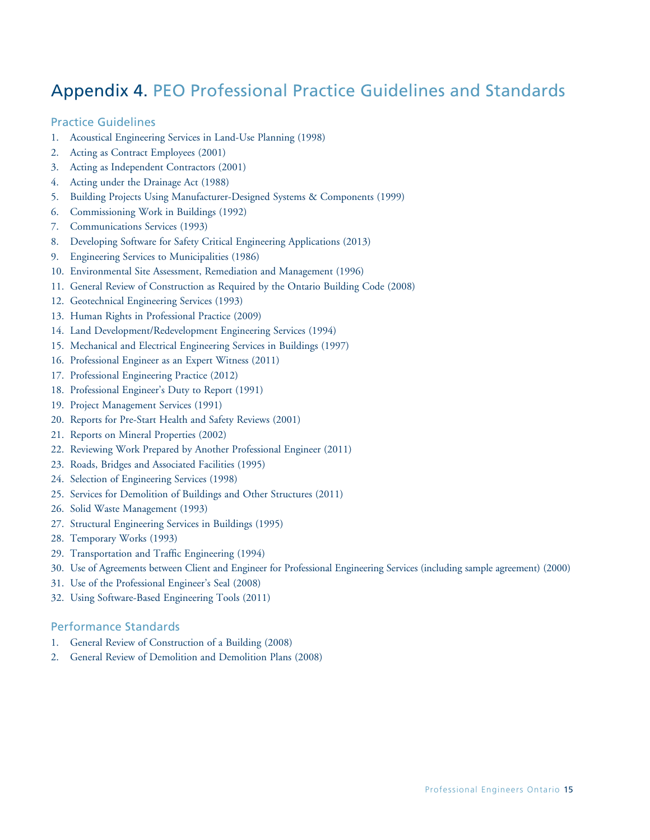# Appendix 4. PEO Professional Practice Guidelines and Standards

### Practice Guidelines

- 1. Acoustical Engineering Services in Land-Use Planning (1998)
- 2. Acting as Contract Employees (2001)
- 3. Acting as Independent Contractors (2001)
- 4. Acting under the Drainage Act (1988)
- 5. Building Projects Using Manufacturer-Designed Systems & Components (1999)
- 6. Commissioning Work in Buildings (1992)
- 7. Communications Services (1993)
- 8. Developing Software for Safety Critical Engineering Applications (2013)
- 9. Engineering Services to Municipalities (1986)
- 10. Environmental Site Assessment, Remediation and Management (1996)
- 11. General Review of Construction as Required by the Ontario Building Code (2008)
- 12. Geotechnical Engineering Services (1993)
- 13. Human Rights in Professional Practice (2009)
- 14. Land Development/Redevelopment Engineering Services (1994)
- 15. Mechanical and Electrical Engineering Services in Buildings (1997)
- 16. Professional Engineer as an Expert Witness (2011)
- 17. Professional Engineering Practice (2012)
- 18. Professional Engineer's Duty to Report (1991)
- 19. Project Management Services (1991)
- 20. Reports for Pre-Start Health and Safety Reviews (2001)
- 21. Reports on Mineral Properties (2002)
- 22. Reviewing Work Prepared by Another Professional Engineer (2011)
- 23. Roads, Bridges and Associated Facilities (1995)
- 24. Selection of Engineering Services (1998)
- 25. Services for Demolition of Buildings and Other Structures (2011)
- 26. Solid Waste Management (1993)
- 27. Structural Engineering Services in Buildings (1995)
- 28. Temporary Works (1993)
- 29. Transportation and Traffic Engineering (1994)
- 30. Use of Agreements between Client and Engineer for Professional Engineering Services (including sample agreement) (2000)
- 31. Use of the Professional Engineer's Seal (2008)
- 32. Using Software-Based Engineering Tools (2011)

#### Performance Standards

- 1. General Review of Construction of a Building (2008)
- 2. General Review of Demolition and Demolition Plans (2008)